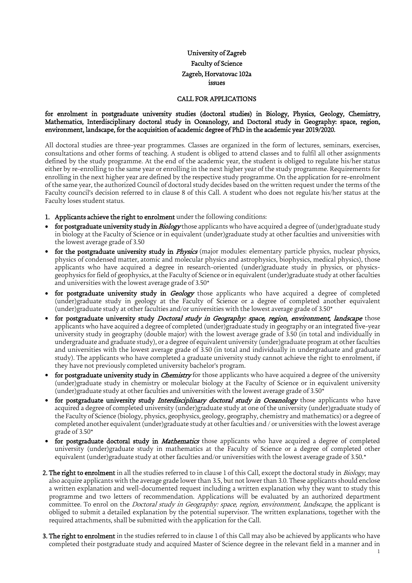# University of Zagreb Faculty of Science Zagreb, Horvatovac 102a issues

#### CALL FOR APPLICATIONS

### for enrolment in postgraduate university studies (doctoral studies) in Biology, Physics, Geology, Chemistry, Mathematics, Interdisciplinary doctoral study in Oceanology, and Doctoral study in Geography: space, region, environment, landscape, for the acquisition of academic degree of PhD in the academic year 2019/2020.

All doctoral studies are three-year programmes. Classes are organized in the form of lectures, seminars, exercises, consultations and other forms of teaching. A student is obliged to attend classes and to fulfil all other assignments defined by the study programme. At the end of the academic year, the student is obliged to regulate his/her status either by re-enrolling to the same year or enrolling in the next higher year of the study programme. Requirements for enrolling in the next higher year are defined by the respective study programme. On the application for re-enrolment of the same year, the authorized Council of doctoral study decides based on the written request under the terms of the Faculty council's decision referred to in clause 8 of this Call. A student who does not regulate his/her status at the Faculty loses student status.

- 1. Applicants achieve the right to enrolment under the following conditions:
- for postgraduate university study in Biology those applicants who have acquired a degree of (under)graduate study in biology at the Faculty of Science or in equivalent (under)graduate study at other faculties and universities with the lowest average grade of 3.50
- for the postgraduate university study in *Physics* (major modules: elementary particle physics, nuclear physics, physics of condensed matter, atomic and molecular physics and astrophysics, biophysics, medical physics), those applicants who have acquired a degree in research-oriented (under)graduate study in physics, or physicsgeophysics for field of geophysics, at the Faculty of Science or in equivalent (under)graduate study at other faculties and universities with the lowest average grade of 3.50\*
- for postgraduate university study in Geology those applicants who have acquired a degree of completed (under)graduate study in geology at the Faculty of Science or a degree of completed another equivalent (under)graduate study at other faculties and/or universities with the lowest average grade of  $3.50*$
- for postgraduate university study *Doctoral study in Geography: space, region, environment, landscape* those applicants who have acquired a degree of completed (under)graduate study in geography or an integrated five-year university study in geography (double major) with the lowest average grade of 3.50 (in total and individually in undergraduate and graduate study), or a degree of equivalent university (under)graduate program at other faculties and universities with the lowest average grade of 3.50 (in total and individually in undergraduate and graduate study). The applicants who have completed a graduate university study cannot achieve the right to enrolment, if they have not previously completed university bachelor's program.
- for postgraduate university study in *Chemistry* for those applicants who have acquired a degree of the university (under)graduate study in chemistry or molecular biology at the Faculty of Science or in equivalent university (under)graduate study at other faculties and universities with the lowest average grade of  $3.50*$
- for postgraduate university study *Interdisciplinary doctoral study in Oceanology* those applicants who have acquired a degree of completed university (under)graduate study at one of the university (under)graduate study of the Faculty of Science (biology, physics, geophysics, geology, geography, chemistry and mathematics) or a degree of completed another equivalent (under)graduate study at other faculties and / or universities with the lowest average grade of 3.50\*
- for postgraduate doctoral study in *Mathematics* those applicants who have acquired a degree of completed university (under)graduate study in mathematics at the Faculty of Science or a degree of completed other equivalent (under)graduate study at other faculties and/or universities with the lowest average grade of 3.50.\*
- 2. The right to enrolment in all the studies referred to in clause 1 of this Call, except the doctoral study in Biology, may also acquire applicants with the average grade lower than 3.5, but not lower than 3.0. These applicants should enclose a written explanation and well-documented request including a written explanation why they want to study this programme and two letters of recommendation. Applications will be evaluated by an authorized department committee. To enrol on the *Doctoral study in Geography: space, region, environment, landscape*, the applicant is obliged to submit a detailed explanation by the potential supervisor. The written explanations, together with the required attachments, shall be submitted with the application for the Call.
- **3. The right to enrolment** in the studies referred to in clause 1 of this Call may also be achieved by applicants who have completed their postgraduate study and acquired Master of Science degree in the relevant field in a manner and in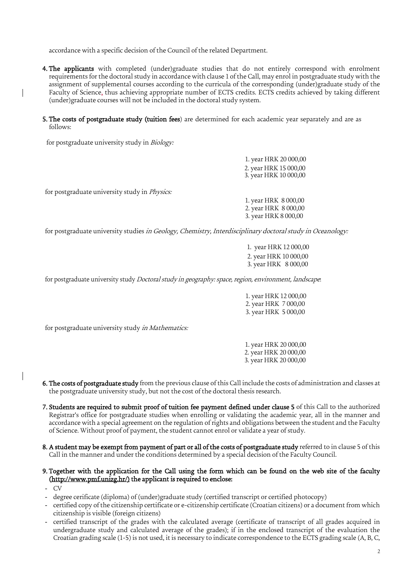accordance with a specific decision of the Council of the related Department.

- 4. The applicants with completed (under)graduate studies that do not entirely correspond with enrolment requirements for the doctoral study in accordance with clause 1 of the Call, may enrol in postgraduate study with the assignment of supplemental courses according to the curricula of the corresponding (under)graduate study of the Faculty of Science, thus achieving appropriate number of ECTS credits. ECTS credits achieved by taking different (under)graduate courses will not be included in the doctoral study system.
- 5. The costs of postgraduate study (tuition fees) are determined for each academic year separately and are as follows:

for postgraduate university study in Biology:

|                                                                                                            | 1. year HRK 20 000,00 |
|------------------------------------------------------------------------------------------------------------|-----------------------|
|                                                                                                            | 2. year HRK 15 000,00 |
|                                                                                                            | 3. year HRK 10 000,00 |
|                                                                                                            |                       |
| for postgraduate university study in <i>Physics</i> :                                                      |                       |
|                                                                                                            | 1. year HRK 8 000,00  |
|                                                                                                            | 2. year HRK 8 000,00  |
|                                                                                                            | 3. year HRK 8 000,00  |
|                                                                                                            |                       |
| for postgraduate university studies in Geology, Chemistry, Interdisciplinary doctoral study in Oceanology: |                       |
|                                                                                                            |                       |

 1. year HRK 12 000,00 2. year HRK 10 000,00 3. year HRK 8 000,00

for postgraduate university study *Doctoral study in geography: space, region, environment, landscape*:

| 1. year HRK 12 000,00 |
|-----------------------|
| 2. year HRK 7000,00   |
| 3. year HRK 5 000,00  |

for postgraduate university study *in Mathematics*:

1. year HRK 20 000,00 2. year HRK 20 000,00 3. year HRK 20 000,00

- 6. The costs of postgraduate study from the previous clause of this Call include the costs of administration and classes at the postgraduate university study, but not the cost of the doctoral thesis research.
- 7. Students are required to submit proof of tuition fee payment defined under clause 5 of this Call to the authorized Registrar's office for postgraduate studies when enrolling or validating the academic year, all in the manner and accordance with a special agreement on the regulation of rights and obligations between the student and the Faculty of Science. Without proof of payment, the student cannot enrol or validate a year of study.
- 8. A student may be exempt from payment of part or all of the costs of postgraduate study referred to in clause 5 of this Call in the manner and under the conditions determined by a special decision of the Faculty Council.

### 9. Together with the application for the Call using the form which can be found on the web site of the faculty (http://www.pmf.unizg.hr/) the applicant is required to enclose:

- CV
- degree cerificate (diploma) of (under)graduate study (certified transcript or certified photocopy)
- certified copy of the citizenship certificate or e-citizenship certificate (Croatian citizens) or a document from which citizenship is visible (foreign citizens)
- certified transcript of the grades with the calculated average (certificate of transcript of all grades acquired in undergraduate study and calculated average of the grades); if in the enclosed transcript of the evaluation the Croatian grading scale (1-5) is not used, it is necessary to indicate correspondence to the ECTS grading scale (A, B, C,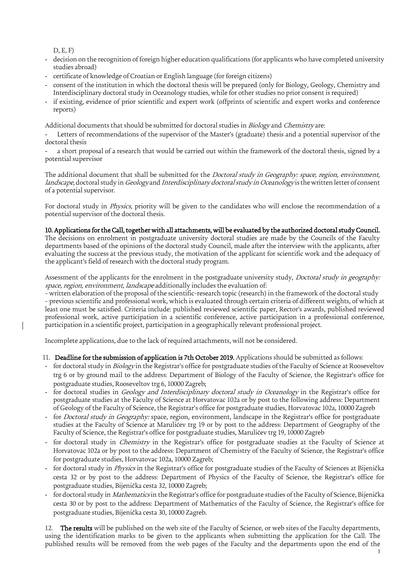D, E, F)

- decision on the recognition of foreign higher education qualifications (for applicants who have completed university studies abroad)
- certificate of knowledge of Croatian or English language (for foreign citizens)
- consent of the institution in which the doctoral thesis will be prepared (only for Biology, Geology, Chemistry and Interdisciplinary doctoral study in Oceanology studies, while for other studies no prior consent is required)
- if existing, evidence of prior scientific and expert work (offprints of scientific and expert works and conference reports)

Additional documents that should be submitted for doctoral studies in *Biology* and *Chemistry* are:

Letters of recommendations of the supervisor of the Master's (graduate) thesis and a potential supervisor of the doctoral thesis

a short proposal of a research that would be carried out within the framework of the doctoral thesis, signed by a potential supervisor

The additional document that shall be submitted for the *Doctoral study in Geography: space, region, environment,* landscape, doctoral study in Geology and Interdisciplinary doctoral study in Oceanology is the written letter of consent of a potential supervisor.

For doctoral study in *Physics*, priority will be given to the candidates who will enclose the recommendation of a potential supervisor of the doctoral thesis.

## 10. Applications for the Call, together with all attachments, will be evaluated by the authorized doctoral study Council.

The decisions on enrolment in postgraduate university doctoral studies are made by the Councils of the Faculty departments based of the opinions of the doctoral study Council, made after the interview with the applicants, after evaluating the success at the previous study, the motivation of the applicant for scientific work and the adequacy of the applicant's field of research with the doctoral study program.

Assessment of the applicants for the enrolment in the postgraduate university study, *Doctoral study in geography:* space, region, environment, landscape additionally includes the evaluation of:

- written elaboration of the proposal of the scientific-research topic (research) in the framework of the doctoral study - previous scientific and professional work, which is evaluated through certain criteria of different weights, of which at least one must be satisfied. Criteria include: published reviewed scientific paper, Rector's awards, published reviewed professional work, active participation in a scientific conference, active participation in a professional conference, participation in a scientific project, participation in a geographically relevant professional project.

Incomplete applications, due to the lack of required attachments, will not be considered.

## 11. Deadline for the submission of application is 7th October 2019. Applications should be submitted as follows:

- for doctoral study in Biology in the Registrar's office for postgraduate studies of the Faculty of Science at Rooseveltov trg 6 or by ground mail to the address: Department of Biology of the Faculty of Science, the Registrar's office for postgraduate studies, Rooseveltov trg 6, 10000 Zagreb;
- for doctoral studies in Geology and Interdisciplinary doctoral study in Oceanology in the Registrar's office for postgraduate studies at the Faculty of Science at Horvatovac 102a or by post to the following address: Department of Geology of the Faculty of Science, the Registrar's office for postgraduate studies, Horvatovac 102a, 10000 Zagreb
- for Doctoral study in Geography: space, region, environment, landscape in the Registrar's office for postgraduate studies at the Faculty of Science at Marulićev trg 19 or by post to the address: Department of Geography of the Faculty of Science, the Registrar's office for postgraduate studies, Marulićev trg 19, 10000 Zagreb
- for doctoral study in *Chemistry* in the Registrar's office for postgraduate studies at the Faculty of Science at Horvatovac 102a or by post to the address: Department of Chemistry of the Faculty of Science, the Registrar's office for postgraduate studies, Horvatovac 102a, 10000 Zagreb;
- for doctoral study in *Physics* in the Registrar's office for postgraduate studies of the Faculty of Sciences at Bijenička cesta 32 or by post to the address: Department of Physics of the Faculty of Science, the Registrar's office for postgraduate studies, Bijenička cesta 32, 10000 Zagreb;
- for doctoral study in *Mathematics* in the Registrar's office for postgraduate studies of the Faculty of Science, Bijenička cesta 30 or by post to the address: Department of Mathematics of the Faculty of Science, the Registrar's office for postgraduate studies, Bijenička cesta 30, 10000 Zagreb.

12. The results will be published on the web site of the Faculty of Science, or web sites of the Faculty departments, using the identification marks to be given to the applicants when submitting the application for the Call. The published results will be removed from the web pages of the Faculty and the departments upon the end of the